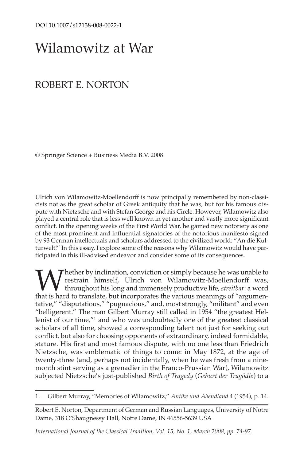# Wilamowitz at War

# ROBERT E. NORTON

© Springer Science + Business Media B.V. 2008

Ulrich von Wilamowitz-Moellendorff is now principally remembered by non-classicists not as the great scholar of Greek antiquity that he was, but for his famous dispute with Nietzsche and with Stefan George and his Circle. However, Wilamowitz also played a central role that is less well known in yet another and vastly more significant conflict. In the opening weeks of the First World War, he gained new notoriety as one of the most prominent and influential signatories of the notorious manifesto signed by 93 German intellectuals and scholars addressed to the civilized world: "An die Kulturwelt!" In this essay, I explore some of the reasons why Wilamowitz would have participated in this ill-advised endeavor and consider some of its consequences.

**W** hether by inclination, conviction or simply because he was unable to restrain himself, Ulrich von Wilamowitz-Moellendorff was, throughout his long and immensely productive life, *streitbar*: a word that is hard to tran restrain himself, Ulrich von Wilamowitz-Moellendorff was, throughout his long and immensely productive life, *streitbar*: a word tative," "disputatious," "pugnacious," and, most strongly, "militant" and even "belligerent." The man Gilbert Murray still called in 1954 "the greatest Hellenist of our time,"1 and who was undoubtedly one of the greatest classical scholars of all time, showed a corresponding talent not just for seeking out conflict, but also for choosing opponents of extraordinary, indeed formidable, stature. His first and most famous dispute, with no one less than Friedrich Nietzsche, was emblematic of things to come: in May 1872, at the age of twenty-three (and, perhaps not incidentally, when he was fresh from a ninemonth stint serving as a grenadier in the Franco-Prussian War), Wilamowitz subjected Nietzsche's just-published *Birth of Tragedy* (*Geburt der Tragödie*) to a

*International Journal of the Classical Tradition, Vol. 15, No. 1, March 2008, pp. 74-97.*

<sup>1.</sup> Gilbert Murray, "Memories of Wilamowitz," *Antike und Abendland* 4 (1954), p. 14.

Robert E. Norton, Department of German and Russian Languages, University of Notre Dame, 318 O'Shaugnessy Hall, Notre Dame, IN 46556-5639 USA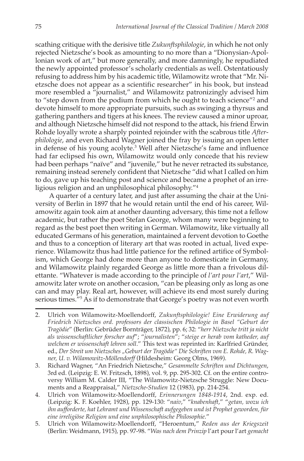scathing critique with the derisive title *Zukunftsphilologie*, in which he not only rejected Nietzsche's book as amounting to no more than a "Dionysian-Apollonian work of art," but more generally, and more damningly, he repudiated the newly appointed professor's scholarly credentials as well. Ostentatiously refusing to address him by his academic title, Wilamowitz wrote that "Mr. Nietzsche does not appear as a scientific researcher" in his book, but instead more resembled a "journalist," and Wilamowitz patronizingly advised him to "step down from the podium from which he ought to teach science"2 and devote himself to more appropriate pursuits, such as swinging a thyrsus and gathering panthers and tigers at his knees. The review caused a minor uproar, and although Nietzsche himself did not respond to the attack, his friend Erwin Rohde loyally wrote a sharply pointed rejoinder with the scabrous title *Afterphilologie*, and even Richard Wagner joined the fray by issuing an open letter in defense of his young acolyte.<sup>3</sup> Well after Nietzsche's fame and influence had far eclipsed his own, Wilamowitz would only concede that his review had been perhaps "naïve" and "juvenile," but he never retracted its substance, remaining instead serenely confident that Nietzsche "did what I called on him to do, gave up his teaching post and science and became a prophet of an irreligious religion and an unphilosophical philosophy."4

A quarter of a century later, and just after assuming the chair at the University of Berlin in 1897 that he would retain until the end of his career, Wilamowitz again took aim at another daunting adversary, this time not a fellow academic, but rather the poet Stefan George, whom many were beginning to regard as the best poet then writing in German. Wilamowitz, like virtually all educated Germans of his generation, maintained a fervent devotion to Goethe and thus to a conception of literary art that was rooted in actual, lived experience. Wilamowitz thus had little patience for the refined artifice of Symbolism, which George had done more than anyone to domesticate in Germany, and Wilamowitz plainly regarded George as little more than a frivolous dilettante. "Whatever is made according to the principle of *l'art pour l'art*," Wilamowitz later wrote on another occasion, "can be pleasing only as long as one can and may play. Real art, however, will achieve its end most surely during serious times.<sup>"5</sup> As if to demonstrate that George's poetry was not even worth

<sup>2.</sup> Ulrich von Wilamowitz-Moellendorff, *Zukunftsphilologie! Eine Erwiderung auf Friedrich Nietzsches ord. professors der classischen Philologie in Basel "Geburt der Tragödie*" (Berlin: Gebrüder Bornträger, 1872), pp. 6; 32: "*herr Nietzsche tritt ja nicht als wissenschaftlicher forscher auf*"; "*journalisten*"; "*steige er herab vom katheder, auf welchem er wissenschaft lehren soll*." This text was reprinted in: Karlfried Gründer, ed., Der Streit um Nietzsches "Geburt der Tragödie" Die Schriften von E. Rohde, R. Wag*ner, U. v. Wilamowitz-Möllendorff* (Hildesheim: Georg Olms, 1969).

<sup>3.</sup> Richard Wagner, "An Friedrich Nietzsche," *Gesammelte Schriften und Dichtungen*, 3rd ed. (Leipzig: E. W. Fritzsch, 1898), vol. 9, pp. 295-302. Cf. on the entire controversy William M. Calder III, "The Wilamowitz-Nietzsche Struggle: New Documents and a Reappraisal," *Nietzsche-Studien* 12 (1983), pp. 214-254.

<sup>4.</sup> Ulrich von Wilamowitz-Moellendorff, *Erinnerungen 1848-1914*, 2nd. exp. ed. (Leipzig: K. F. Koehler, 1928), pp. 129-130: "*naiv*," "*knabenhaft*," "*getan, wozu ich ihn aufforderte, hat Lehramt und Wissenschaft aufgegeben und ist Prophet geworden, für eine irreligiöse Religion und eine unphilosophische Philosophie*."

<sup>5.</sup> Ulrich von Wilamowitz-Moellendorff, "Heroentum," *Reden aus der Kriegszeit* (Berlin: Weidmann, 1915), pp. 97-98. "*Was nach dem Prinzip* l'art pour l'art *gemacht*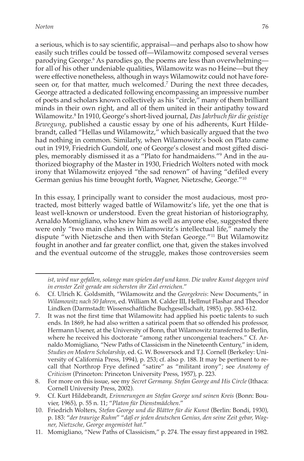a serious, which is to say scientific, appraisal—and perhaps also to show how easily such trifles could be tossed off—Wilamowitz composed several verses parodying George.6 As parodies go, the poems are less than overwhelming for all of his other undeniable qualities, Wilamowitz was no Heine—but they were effective nonetheless, although in ways Wilamowitz could not have foreseen or, for that matter, much welcomed.<sup>7</sup> During the next three decades, George attracted a dedicated following encompassing an impressive number of poets and scholars known collectively as his "circle," many of them brilliant minds in their own right, and all of them united in their antipathy toward Wilamowitz.8 In 1910, George's short-lived journal, *Das Jahrbuch für die geistige Bewegung*, published a caustic essay by one of his adherents, Kurt Hildebrandt, called "Hellas und Wilamowitz," which basically argued that the two had nothing in common. Similarly, when Wilamowitz's book on Plato came out in 1919, Friedrich Gundolf, one of George's closest and most gifted disciples, memorably dismissed it as a "Plato for handmaidens."9 And in the authorized biography of the Master in 1930, Friedrich Wolters noted with mock irony that Wilamowitz enjoyed "the sad renown" of having "defiled every German genius his time brought forth, Wagner, Nietzsche, George."10

In this essay, I principally want to consider the most audacious, most protracted, most bitterly waged battle of Wilamowitz's life, yet the one that is least well-known or understood. Even the great historian of historiography, Arnaldo Momigliano, who knew him as well as anyone else, suggested there were only "two main clashes in Wilamowitz's intellectual life," namely the dispute "with Nietzsche and then with Stefan George."11 But Wilamowitz fought in another and far greater conflict, one that, given the stakes involved and the eventual outcome of the struggle, makes those controversies seem

7. It was not the first time that Wilamowitz had applied his poetic talents to such ends. In 1869, he had also written a satirical poem that so offended his professor, Hermann Usener, at the University of Bonn, that Wilamowitz transferred to Berlin, where he received his doctorate "among rather uncongenial teachers." Cf. Arnaldo Momigliano, "New Paths of Classicism in the Nineteenth Century," in idem, *Studies on Modern Scholarship*, ed. G. W. Bowersock and T.J. Cornell (Berkeley: University of California Press, 1994), p. 253; cf. also p. 188. It may be pertinent to recall that Northrop Frye defined "satire" as "militant irony"; see *Anatomy of Criticism* (Princeton: Princeton University Press, 1957), p. 223.

*ist, wird nur gefallen, solange man spielen darf und kann. Die wahre Kunst dagegen wird in ernster Zeit gerade am sichersten ihr Ziel erreichen.*"

<sup>6.</sup> Cf. Ulrich K. Goldsmith, "Wilamowitz and the *Georgekreis*: New Documents," in *Wilamowitz nach 50 Jahren*, ed. William M. Calder III, Hellmut Flashar and Theodor Lindken (Darmstadt: Wissenschaftliche Buchgesellschaft, 1985), pp. 583-612.

<sup>8.</sup> For more on this issue, see my *Secret Germany. Stefan George and His Circle* (Ithaca: Cornell University Press, 2002).

<sup>9.</sup> Cf. Kurt Hildebrandt, *Erinnerungen an Stefan George und seinen Kreis* (Bonn: Bouvier, 1965), p. 55 n. 11; "*Platon für Dienstmädchen*."

<sup>10.</sup> Friedrich Wolters, *Stefan George und die Blätter für die Kunst* (Berlin: Bondi, 1930), p. 183: "*der traurige Ruhm*" "*daß er jeden deutschen Genius, den seine Zeit gebar, Wagner, Nietzsche, George angemistet hat.*"

<sup>11.</sup> Momigliano, "New Paths of Classicism," p. 274. The essay first appeared in 1982.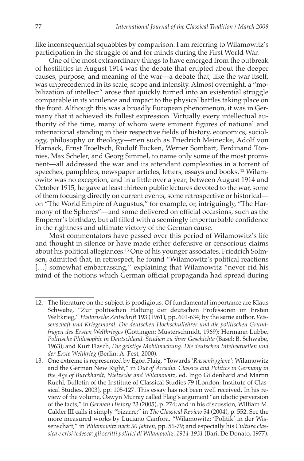like inconsequential squabbles by comparison. I am referring to Wilamowitz's participation in the struggle of and for minds during the First World War.

One of the most extraordinary things to have emerged from the outbreak of hostilities in August 1914 was the debate that erupted about the deeper causes, purpose, and meaning of the war—a debate that, like the war itself, was unprecedented in its scale, scope and intensity. Almost overnight, a "mobilization of intellect" arose that quickly turned into an existential struggle comparable in its virulence and impact to the physical battles taking place on the front. Although this was a broadly European phenomenon, it was in Germany that it achieved its fullest expression. Virtually every intellectual authority of the time, many of whom were eminent figures of national and international standing in their respective fields of history, economics, sociology, philosophy or theology—men such as Friedrich Meinecke, Adolf von Harnack, Ernst Troeltsch, Rudolf Eucken, Werner Sombart, Ferdinand Tönnies, Max Scheler, and Georg Simmel, to name only some of the most prominent—all addressed the war and its attendant complexities in a torrent of speeches, pamphlets, newspaper articles, letters, essays and books. <sup>12</sup> Wilamowitz was no exception, and in a little over a year, between August 1914 and October 1915, he gave at least thirteen public lectures devoted to the war, some of them focusing directly on current events, some retrospective or historical on "The World Empire of Augustus," for example, or, intriguingly, "The Harmony of the Spheres"—and some delivered on official occasions, such as the Emperor's birthday, but all filled with a seemingly imperturbable confidence in the rightness and ultimate victory of the German cause.

Most commentators have passed over this period of Wilamowitz's life and thought in silence or have made either defensive or censorious claims about his political allegiances.13 One of his younger associates, Friedrich Solmsen, admitted that, in retrospect, he found "Wilamowitz's political reactions [...] somewhat embarrassing," explaining that Wilamowitz "never rid his mind of the notions which German official propaganda had spread during

<sup>12.</sup> The literature on the subject is prodigious. Of fundamental importance are Klaus Schwabe, "Zur politischen Haltung der deutschen Professoren im Ersten Weltkrieg," *Historische Zeitschrift* 193 (1961), pp. 601-634; by the same author, *Wissenschaft und Kriegsmoral. Die deutschen Hochschullehrer und die politischen Grundfragen des Ersten Weltkrieges* (Göttingen: Musterschmidt, 1969); Hermann Lübbe, *Politische Philosophie in Deutschland. Studien zu ihrer Geschichte* (Basel: B. Schwabe, 1963); and Kurt Flasch, *Die geistige Mobilmachung. Die deutschen Intellektuellen und der Erste Weltkrieg* (Berlin: A. Fest, 2000).

<sup>13.</sup> One extreme is represented by Egon Flaig, "Towards '*Rassenhygiene'*: Wilamowitz and the German New Right," in *Out of Arcadia. Classics and Politics in Germany in the Age of Burckhardt, Nietzsche and Wilamowitz*, ed. Ingo Gildenhard and Martin Ruehl, Bulletin of the Institute of Classical Studies 79 (London: Institute of Classical Studies, 2003), pp. 105-127. This essay has not been well received. In his review of the volume, Oswyn Murray called Flaig's argument "an idiotic perversion of the facts;" in *German History* 23 (2005), p. 274; and in his discussion, William M. Calder III calls it simply "bizarre;" in *The Classical Review* 54 (2004), p. 552. See the more measured works by Luciano Canfora, "Wilamowitz: 'Politik' in der Wissenschaft," in *Wilamowitz nach 50 Jahren*, pp. 56-79; and especially his *Cultura classica e crisi tedesca: gli scritti politici di Wilamowitz, 1914-1931* (Bari: De Donato, 1977).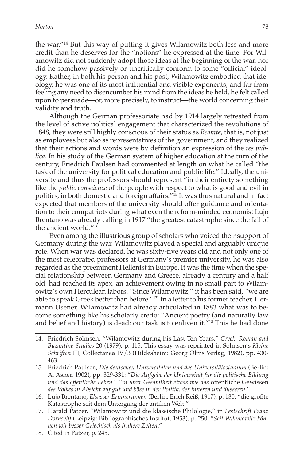the war."14 But this way of putting it gives Wilamowitz both less and more credit than he deserves for the "notions" he expressed at the time. For Wilamowitz did not suddenly adopt those ideas at the beginning of the war, nor did he somehow passively or uncritically conform to some "official" ideology. Rather, in both his person and his post, Wilamowitz embodied that ideology, he was one of its most influential and visible exponents, and far from feeling any need to disencumber his mind from the ideas he held, he felt called upon to persuade—or, more precisely, to instruct—the world concerning their validity and truth.

Although the German professoriate had by 1914 largely retreated from the level of active political engagement that characterized the revolutions of 1848, they were still highly conscious of their status as *Beamte*, that is, not just as employees but also as representatives of the government, and they realized that their actions and words were by definition an expression of the *res publica*. In his study of the German system of higher education at the turn of the century, Friedrich Paulsen had commented at length on what he called "the task of the university for political education and public life." Ideally, the university and thus the professors should represent "in their entirety something like the *public conscience* of the people with respect to what is good and evil in politics, in both domestic and foreign affairs."<sup>15</sup> It was thus natural and in fact expected that members of the university should offer guidance and orientation to their compatriots during what even the reform-minded economist Lujo Brentano was already calling in 1917 "the greatest catastrophe since the fall of the ancient world."16

Even among the illustrious group of scholars who voiced their support of Germany during the war, Wilamowitz played a special and arguably unique role. When war was declared, he was sixty-five years old and not only one of the most celebrated professors at Germany's premier university, he was also regarded as the preeminent Hellenist in Europe. It was the time when the special relationship between Germany and Greece, already a century and a half old, had reached its apex, an achievement owing in no small part to Wilamowitz's own Herculean labors. "Since Wilamowitz," it has been said, "we are able to speak Greek better than before."17 In a letter to his former teacher, Hermann Usener, Wilamowitz had already articulated in 1883 what was to become something like his scholarly credo: "Ancient poetry (and naturally law and belief and history) is dead: our task is to enliven it."<sup>18</sup> This he had done

<sup>14.</sup> Friedrich Solmsen, "Wilamowitz during his Last Ten Years," *Greek, Roman and Byzantine Studies* 20 (1979), p. 115. This essay was reprinted in Solmsen's *Kleine Schriften* III, Collectanea IV/3 (Hildesheim: Georg Olms Verlag, 1982), pp. 430- 463.

<sup>15.</sup> Friedrich Paulsen, *Die deutschen Universitäten und das Universitätsstudium* (Berlin: A. Asher, 1902), pp. 329-331: "*Die Aufgabe der Universität für die politische Bildung und das öffentliche Leben.*" "*in ihrer Gesamtheit etwas wie das* öffentliche Gewissen *des Volkes in Absicht auf gut und böse in der Politik, der inneren und äusseren.*"

<sup>16.</sup> Lujo Brentano, *Elsässer Erinnerungen* (Berlin: Erich Reiß, 1917), p. 130; "die größte Katastrophe seit dem Untergang der antiken Welt."

<sup>17.</sup> Harald Patzer, "Wilamowitz und die klassische Philologie," in *Festschrift Franz Dornseiff* (Leipzig: Bibliographisches Institut, 1953), p. 250: "*Seit Wilamowitz können wir besser Griechisch als frühere Zeiten*."

<sup>18.</sup> Cited in Patzer, p. 245.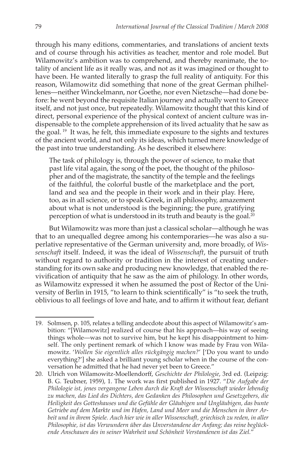through his many editions, commentaries, and translations of ancient texts and of course through his activities as teacher, mentor and role model. But Wilamowitz's ambition was to comprehend, and thereby reanimate, the totality of ancient life as it really was, and not as it was imagined or thought to have been. He wanted literally to grasp the full reality of antiquity. For this reason, Wilamowitz did something that none of the great German philhellenes—neither Winckelmann, nor Goethe, nor even Nietzsche—had done before: he went beyond the requisite Italian journey and actually went to Greece itself, and not just once, but repeatedly. Wilamowitz thought that this kind of direct, personal experience of the physical context of ancient culture was indispensable to the complete apprehension of its lived actuality that he saw as the goal. <sup>19</sup> It was, he felt, this immediate exposure to the sights and textures of the ancient world, and not only its ideas, which turned mere knowledge of the past into true understanding. As he described it elsewhere:

The task of philology is, through the power of science, to make that past life vital again, the song of the poet, the thought of the philosopher and of the magistrate, the sanctity of the temple and the feelings of the faithful, the colorful bustle of the marketplace and the port, land and sea and the people in their work and in their play. Here, too, as in all science, or to speak Greek, in all philosophy, amazement about what is not understood is the beginning; the pure, gratifying perception of what is understood in its truth and beauty is the goal.20

But Wilamowitz was more than just a classical scholar—although he was that to an unequalled degree among his contemporaries—he was also a superlative representative of the German university and, more broadly, of *Wissenschaft* itself. Indeed, it was the ideal of *Wissenschaft*, the pursuit of truth without regard to authority or tradition in the interest of creating understanding for its own sake and producing new knowledge, that enabled the revivification of antiquity that he saw as the aim of philology. In other words, as Wilamowitz expressed it when he assumed the post of Rector of the University of Berlin in 1915, "to learn to think scientifically" is "to seek the truth, oblivious to all feelings of love and hate, and to affirm it without fear, defiant

<sup>19.</sup> Solmsen, p. 105, relates a telling andecdote about this aspect of Wilamowitz's ambition: "[Wilamowitz] realized of course that his approach—his way of seeing things whole—was not to survive him, but he kept his disappointment to himself. The only pertinent remark of which I know was made by Frau von Wilamowitz. '*Wollen Sie eigentlich alles rückgängig machen?*' ['Do you want to undo everything?'] she asked a brilliant young scholar when in the course of the conversation he admitted that he had never yet been to Greece."

<sup>20.</sup> Ulrich von Wilamowitz-Moellendorff, *Geschichte der Philologie*, 3rd ed. (Leipzig: B. G. Teubner, 1959), 1. The work was first published in 1927. "*Die Aufgabe der Philologie ist, jenes vergangene Leben durch die Kraft der Wissenschaft wieder lebendig zu machen, das Lied des Dichters, den Gedanken des Philosophen und Gesetzgebers, die Heiligkeit des Gotteshauses und die Gefühle der Gläubigen und Ungläubigen, das bunte Getriebe auf dem Markte und im Hafen, Land und Meer und die Menschen in ihrer Arbeit und in ihrem Spiele. Auch hier wie in aller Wissenschaft, griechisch zu reden, in aller Philosophie, ist das Verwundern über das Unverstandene der Anfang; das reine beglückende Anschauen des in seiner Wahrheit und Schönheit Verstandenen ist das Ziel.*"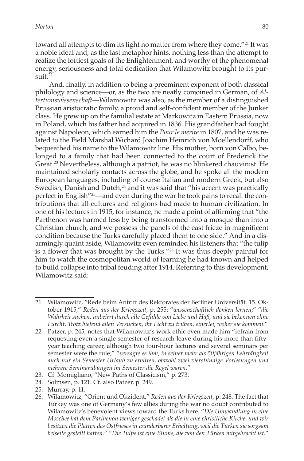toward all attempts to dim its light no matter from where they come."<sup>21</sup> It was a noble ideal and, as the last metaphor hints, nothing less than the attempt to realize the loftiest goals of the Enlightenment, and worthy of the phenomenal energy, seriousness and total dedication that Wilamowitz brought to its pur $s$ uit.<sup>22</sup>

And, finally, in addition to being a preeminent exponent of both classical philology and science—or, as the two are neatly conjoined in German, of *Altertumswissenschaft*—Wilamowitz was also, as the member of a distinguished Prussian aristocratic family, a proud and self-confident member of the Junker class. He grew up on the familial estate at Markowitz in Eastern Prussia, now in Poland, which his father had acquired in 1836. His grandfather had fought against Napoleon, which earned him the *Pour le mérite* in 1807, and he was related to the Field Marshal Wichard Joachim Heinrich von Moellendorff, who bequeathed his name to the Wilamowitz line. His mother, born von Calbo, belonged to a family that had been connected to the court of Frederick the Great.<sup>23</sup> Nevertheless, although a patriot, he was no blinkered chauvinist. He maintained scholarly contacts across the globe, and he spoke all the modern European languages, including of course Italian and modern Greek, but also Swedish, Danish and Dutch,<sup>24</sup> and it was said that "his accent was practically perfect in English"25—and even during the war he took pains to recall the contributions that all cultures and religions had made to human civilization. In one of his lectures in 1915, for instance, he made a point of affirming that "the Parthenon was harmed less by being transformed into a mosque than into a Christian church, and we possess the panels of the east frieze in magnificent condition because the Turks carefully placed them to one side." And in a disarmingly quaint aside, Wilamowitz even reminded his listeners that "the tulip is a flower that was brought by the Turks."26 It was thus deeply painful for him to watch the cosmopolitan world of learning he had known and helped to build collapse into tribal feuding after 1914. Referring to this development, Wilamowitz said:

<sup>21.</sup> Wilamowitz, "Rede beim Antritt des Rektorates der Berliner Universität. 15. Oktober 1915," *Reden aus der Kriegszeit*, p. 255: "*wissenschaftlich denken lernen*;" "*die Wahrheit suchen, unbeirrt durch alle Gefühle von Liebe und Haß, und sie bekennen ohne Furcht, Trotz bietend allen Versuchen, ihr Licht zu trüben, einerlei, woher sie kommen.*"

<sup>22.</sup> Patzer, p. 245, notes that Wilamowitz's work ethic even made him "refrain from requesting even a single semester of research leave during his more than fiftyyear teaching career, although two four-hour lectures and several seminars per semester were the rule;" "*versagte es ihm, in seiner mehr als 50jährigen Lehrtätigkeit auch nur ein Semester Urlaub zu erbitten, obwohl zwei vierstündige Vorlesungen und mehrere Seminarübungen im Semester die Regel waren.*"

<sup>23.</sup> Cf. Momigliano, "New Paths of Classicism," p. 273.

<sup>24.</sup> Solmsen, p. 121. Cf. also Patzer, p. 249.

<sup>25.</sup> Murray, p. 11.

<sup>26.</sup> Wilamowitz, "Orient und Okzident," *Reden aus der Kriegszeit*, p. 248. The fact that Turkey was one of Germany's few allies during the war no doubt contributed to Wilamowitz's benevolent views toward the Turks here. "*Die Umwandlung in eine Moschee hat dem Parthenon weniger geschadet als die in eine christliche Kirche, und wir besitzen die Platten des Ostfrieses in wunderbarer Erhaltung, weil die Türken sie sorgsam beiseite gestellt hatten.*" "*Die Tulpe ist eine Blume, die von den Türken mitgebracht ist.*"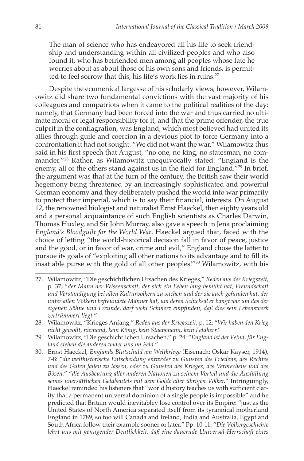The man of science who has endeavored all his life to seek friendship and understanding within all civilized peoples and who also found it, who has befriended men among all peoples whose fate he worries about as about those of his own sons and friends, is permitted to feel sorrow that this, his life's work lies in ruins.<sup>27</sup>

Despite the ecumenical largesse of his scholarly views, however, Wilamowitz did share two fundamental convictions with the vast majority of his colleagues and compatriots when it came to the political realities of the day: namely, that Germany had been forced into the war and thus carried no ultimate moral or legal responsibility for it, and that the prime offender, the true culprit in the conflagration, was England, which most believed had united its allies through guile and coercion in a devious plot to force Germany into a confrontation it had not sought. "We did not want the war," Wilamowitz thus said in his first speech that August, "no one, no king, no statesman, no commander."28 Rather, as Wilamowitz unequivocally stated: "England is the enemy, all of the others stand against us in the field for England."<sup>29</sup> In brief, the argument was that at the turn of the century, the British saw their world hegemony being threatened by an increasingly sophisticated and powerful German economy and they deliberately pushed the world into war primarily to protect their imperial, which is to say their financial, interests. On August 12, the renowned biologist and naturalist Ernst Haeckel, then eighty years old and a personal acquaintance of such English scientists as Charles Darwin, Thomas Huxley, and Sir John Murray, also gave a speech in Jena proclaiming *England's Bloodguilt for the World War*. Haeckel argued that, faced with the choice of letting "the world-historical decision fall in favor of peace, justice and the good, or in favor of war, crime and evil," England chose the latter to pursue its goals of "exploiting all other nations to its advantage and to fill its insatiable purse with the gold of all other peoples!"30 Wilamowitz, with his

<sup>27.</sup> Wilamowitz, "Die geschichtlichen Ursachen des Krieges," *Reden aus der Kriegszeit*, p. 37; "*der Mann der Wissenschaft, der sich ein Leben lang bemüht hat, Freundschaft und Verständigung bei allen Kulturvölkern zu suchen und der sie auch gefunden hat, der unter allen Völkern befreundete Männer hat, um deren Schicksal er bangt wie um das der eigenen Söhne und Freunde, darf wohl Schmerz empfinden, daß dies sein Lebenswerk zertrümmert liegt.*"

<sup>28.</sup> Wilamowitz, "Krieges Anfang," *Reden aus der Kriegszeit*, p. 12: "*Wir haben den Krieg nicht gewollt, niemand, kein König, kein Staatsmann, kein Feldherr.*"

<sup>29.</sup> Wilamowitz, "Die geschichtlichen Ursachen," p. 24: "*England ist der Feind, für England stehen die anderen wider uns im Feld.*"

<sup>30.</sup> Ernst Haeckel, *Englands Blutschuld am Weltkriege* (Eisenach: Oskar Kayser, 1914), 7-8: "*die welthistorische Entscheidung entweder zu Gunsten des Friedens, des Rechtes und des Guten fallen zu lassen, oder zu Gunsten des Krieges, des Verbrechens und des Bösen.*" "*die Ausbeutung aller anderen Nationen zu seinem Vorteil und die Ausfüllung seines unersättlichen Geldbeutels mit dem Golde aller übrigen Völker.*" Intringuingly, Haeckel reminded his listeners that "world history teaches us with sufficient clarity that a permanent universal dominion of a single people is impossible" and he predicted that Britain would inevitabley lose control over its Empire: "just as the United States of North America separated itself from its tyrannical motherland England in 1789, so too will Canada and Ireland, India and Australia, Egypt and South Africa follow their example sooner or later." Pp. 10-11: "*Die Völkergeschichte lehrt uns mit genügender Deutlichkeit, daß eine dauernde Universal-Herrschaft eines*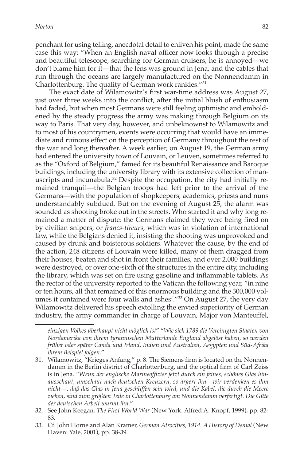penchant for using telling, anecdotal detail to enliven his point, made the same case this way: "When an English naval officer now looks through a precise and beautiful telescope, searching for German cruisers, he is annoyed—we don't blame him for it—that the lens was ground in Jena, and the cables that run through the oceans are largely manufactured on the Nonnendamm in Charlottenburg. The quality of German work rankles."31

The exact date of Wilamowitz's first war-time address was August 27, just over three weeks into the conflict, after the initial blush of enthusiasm had faded, but when most Germans were still feeling optimistic and emboldened by the steady progress the army was making through Belgium on its way to Paris. That very day, however, and unbeknownst to Wilamowitz and to most of his countrymen, events were occurring that would have an immediate and ruinous effect on the perception of Germany throughout the rest of the war and long thereafter. A week earlier, on August 19, the German army had entered the university town of Louvain, or Leuven, sometimes referred to as the "Oxford of Belgium," famed for its beautiful Renaissance and Baroque buildings, including the university library with its extensive collection of manuscripts and incunabula. $32$  Despite the occupation, the city had initially remained tranquil—the Belgian troops had left prior to the arrival of the Germans—with the population of shopkeepers, academics, priests and nuns understandably subdued. But on the evening of August 25, the alarm was sounded as shooting broke out in the streets. Who started it and why long remained a matter of dispute: the Germans claimed they were being fired on by civilian snipers, or *francs-tireurs*, which was in violation of international law, while the Belgians denied it, insisting the shooting was unprovoked and caused by drunk and boisterous soldiers. Whatever the cause, by the end of the action, 248 citizens of Louvain were killed, many of them dragged from their houses, beaten and shot in front their families, and over 2,000 buildings were destroyed, or over one-sixth of the structures in the entire city, including the library, which was set on fire using gasoline and inflammable tablets. As the rector of the university reported to the Vatican the following year, "in nine or ten hours, all that remained of this enormous building and the 300,000 volumes it contained were four walls and ashes'."33 On August 27, the very day Wilamowitz delivered his speech extolling the envied superiority of German industry, the army commander in charge of Louvain, Major von Manteuffel,

*einzigen Volkes überhaupt nicht möglich ist*" "*Wie sich 1789 die Vereinigten Staaten von Nordamerika von ihrem tyrannischen Mutterlande England abgelöst haben, so werden früher oder später Canda und Irland, Indien und Australien, Aegypten und Süd-Afrika ihrem Beispiel folgen.*"

<sup>31.</sup> Wilamowitz, "Krieges Anfang," p. 8. The Siemens firm is located on the Nonnendamm in the Berlin district of Charlottenburg, and the optical firm of Carl Zeiss is in Jena. "W*enn der englische Marineoffizier jetzt durch ein feines, schönes Glas hinausschaut, umschaut nach deutschen Kreuzern, so ärgert ihn—wir verdenken es ihm nicht—, daß das Glas in Jena geschliffen sein wird, und die Kabel, die durch die Meere ziehen, sind zum größten Teile in Charlottenburg am Nonnendamm verfertigt. Die Güte der deutschen Arbeit wurmt ihn.*"

<sup>32.</sup> See John Keegan, *The First World War* (New York: Alfred A. Knopf, 1999), pp. 82- 83.

<sup>33.</sup> Cf. John Horne and Alan Kramer, *German Atrocities, 1914. A History of Denial* (New Haven: Yale, 2001), pp. 38-39.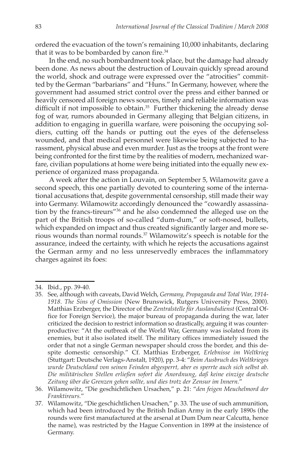ordered the evacuation of the town's remaining 10,000 inhabitants, declaring that it was to be bombarded by canon fire.<sup>34</sup>

In the end, no such bombardment took place, but the damage had already been done. As news about the destruction of Louvain quickly spread around the world, shock and outrage were expressed over the "atrocities" committed by the German "barbarians" and "Huns." In Germany, however, where the government had assumed strict control over the press and either banned or heavily censored all foreign news sources, timely and reliable information was difficult if not impossible to obtain. $35$  Further thickening the already dense fog of war, rumors abounded in Germany alleging that Belgian citizens, in addition to engaging in guerilla warfare, were poisoning the occupying soldiers, cutting off the hands or putting out the eyes of the defenseless wounded, and that medical personnel were likewise being subjected to harassment, physical abuse and even murder. Just as the troops at the front were being confronted for the first time by the realities of modern, mechanized warfare, civilian populations at home were being initiated into the equally new experience of organized mass propaganda.

A week after the action in Louvain, on September 5, Wilamowitz gave a second speech, this one partially devoted to countering some of the international accusations that, despite governmental censorship, still made their way into Germany. Wilamowitz accordingly denounced the "cowardly assassination by the francs-tireurs"36 and he also condemned the alleged use on the part of the British troops of so-called "dum-dum," or soft-nosed, bullets, which expanded on impact and thus created significantly larger and more serious wounds than normal rounds.37 Wilamowitz's speech is notable for the assurance, indeed the certainty, with which he rejects the accusations against the German army and no less unreservedly embraces the inflammatory charges against its foes:

<sup>34.</sup> Ibid., pp. 39-40.

<sup>35.</sup> See, although with caveats, David Welch, *Germany, Propaganda and Total War, 1914- 1918. The Sins of Omission* (New Brunswick, Rutgers University Press, 2000). Matthias Erzberger, the Director of the *Zentralstelle für Auslandsdienst* (Central Office for Foreign Service), the major bureau of propaganda during the war, later criticized the decision to restrict information so drastically, arguing it was counterproductive: "At the outbreak of the World War, Germany was isolated from its enemies, but it also isolated itself. The military offices immediately issued the order that not a single German newspaper should cross the border, and this despite domestic censorship." Cf. Matthias Erzberger, *Erlebnisse im Weltkrieg* (Stuttgart: Deutsche Verlags-Anstalt, 1920), pp. 3-4: "*Beim Ausbruch des Weltkrieges wurde Deutschland von seinen Feinden abgesperrt, aber es sperrte auch sich selbst ab. Die militärischen Stellen erließen sofort die Anordnung, daß keine einzige deutsche Zeitung über die Grenzen gehen sollte, und dies trotz der Zensur im Innern.*"

<sup>36.</sup> Wilamowitz, "Die geschichtlichen Ursachen," p. 21: "*den feigen Meuchelmord der Franktireurs.*"

<sup>37.</sup> Wilamowitz, "Die geschichtlichen Ursachen," p. 33. The use of such ammunition, which had been introduced by the British Indian Army in the early 1890s (the rounds were first manufactured at the arsenal at Dum Dum near Calcutta, hence the name), was restricted by the Hague Convention in 1899 at the insistence of Germany.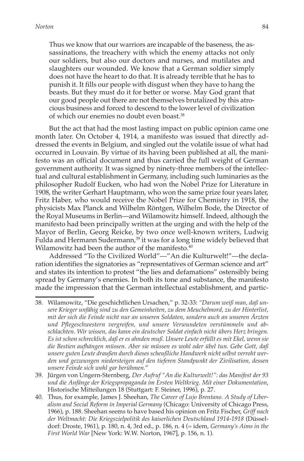Thus we know that our warriors are incapable of the baseness, the assassinations, the treachery with which the enemy attacks not only our soldiers, but also our doctors and nurses, and mutilates and slaughters our wounded. We know that a German soldier simply does not have the heart to do that. It is already terrible that he has to punish it. It fills our people with disgust when they have to hang the beasts. But they must do it for better or worse. May God grant that our good people out there are not themselves brutalized by this atrocious business and forced to descend to the lower level of civilization of which our enemies no doubt even boast.38

But the act that had the most lasting impact on public opinion came one month later. On October 4, 1914, a manifesto was issued that directly addressed the events in Belgium, and singled out the volatile issue of what had occurred in Louvain. By virtue of its having been published at all, the manifesto was an official document and thus carried the full weight of German government authority. It was signed by ninety-three members of the intellectual and cultural establishment in Germany, including such luminaries as the philosopher Rudolf Eucken, who had won the Nobel Prize for Literature in 1908, the writer Gerhart Hauptmann, who won the same prize four years later, Fritz Haber, who would receive the Nobel Prize for Chemistry in 1918, the physicists Max Planck and Wilhelm Röntgen, Wilhelm Bode, the Director of the Royal Museums in Berlin—and Wilamowitz himself. Indeed, although the manifesto had been principally written at the urging and with the help of the Mayor of Berlin, Georg Reicke, by two once well-known writers, Ludwig Fulda and Hermann Sudermann,<sup>39</sup> it was for a long time widely believed that Wilamowitz had been the author of the manifesto.<sup>40</sup>

Addressed "To the Civilized World"—"An die Kulturwelt!"—the declaration identifies the signatories as "representatives of German science and art" and states its intention to protest "the lies and defamations" ostensibly being spread by Germany's enemies. In both its tone and substance, the manifesto made the impression that the German intellectual establishment, and partic-

<sup>38.</sup> Wilamowitz, "Die geschichtlichen Ursachen," p. 32-33: *"Darum weiß man, daß unsere Krieger unfähig sind zu den Gemeinheiten, zu dem Meuchelmord, zu der Hinterlist, mit der sich die Feinde nicht nur an unseren Soldaten, sondern auch an unseren Ärzten und Pflegeschwestern vergreifen, und unsere Verwundeten verstümmeln und abschlachten. Wir wissen, das kann ein deutscher Soldat einfach nicht übers Herz bringen. Es ist schon schrecklich, daß er es ahnden muß. Unsere Leute erfüllt es mit Ekel, wenn sie die Bestien aufhängen müssen. Aber sie müssen es wohl oder übel tun. Gebe Gott, daß unsere guten Leute draußen durch dieses scheußliche Handwerk nicht selbst verroht werden und gezwungen niedersteigen auf den tieferen Standpunkt der Zivilisation, dessen unsere Feinde sich wohl gar berühmen.*"

<sup>39.</sup> Jürgen von Ungern-Sternberg, *Der Aufruf "An die Kulturwelt!": das Manifest der 93 und die Anfänge der Kriegspropaganda im Ersten Weltkrieg. Mit einer Dokumentation*, Historische Mitteilungen 18 (Stuttgart: F. Steiner, 1996), p. 27.

<sup>40.</sup> Thus, for example, James J. Sheehan, *The Career of Lujo Brentano. A Study of Liberalism and Social Reform in Imperial Germany* (Chicago: University of Chicago Press, 1966), p. 188. Sheehan seems to have based his opinion on Fritz Fischer, *Griff nach der Weltmacht: Die Kriegszielpolitik des kaiserlichen Deutschland 1914-1918* (Düsseldorf: Droste, 1961), p. 180, n. 4, 3rd ed., p. 186, n. 4 (= idem, *Germany's Aims in the First World War* [New York: W.W. Norton, 1967], p. 156, n. 1).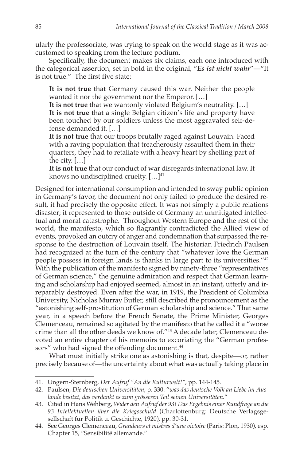ularly the professoriate, was trying to speak on the world stage as it was accustomed to speaking from the lecture podium.

Specifically, the document makes six claims, each one introduced with the categorical assertion, set in bold in the original, "*Es ist nicht wahr*"—"It is not true." The first five state:

**It is not true** that Germany caused this war. Neither the people wanted it nor the government nor the Emperor. […]

**It is not true** that we wantonly violated Belgium's neutrality. […] **It is not true** that a single Belgian citizen's life and property have been touched by our soldiers unless the most aggravated self-defense demanded it. […]

**It is not true** that our troops brutally raged against Louvain. Faced with a raving population that treacherously assaulted them in their quarters, they had to retaliate with a heavy heart by shelling part of the city. […]

**It is not true** that our conduct of war disregards international law. It knows no undisciplined cruelty.  $[...]^{41}$ 

Designed for international consumption and intended to sway public opinion in Germany's favor, the document not only failed to produce the desired result, it had precisely the opposite effect. It was not simply a public relations disaster; it represented to those outside of Germany an unmitigated intellectual and moral catastrophe. Throughout Western Europe and the rest of the world, the manifesto, which so flagrantly contradicted the Allied view of events, provoked an outcry of anger and condemnation that surpassed the response to the destruction of Louvain itself. The historian Friedrich Paulsen had recognized at the turn of the century that "whatever love the German people possess in foreign lands is thanks in large part to its universities."42 With the publication of the manifesto signed by ninety-three "representatives of German science," the genuine admiration and respect that German learning and scholarship had enjoyed seemed, almost in an instant, utterly and irreparably destroyed. Even after the war, in 1919, the President of Columbia University, Nicholas Murray Butler, still described the pronouncement as the "astonishing self-prostitution of German scholarship and science." That same year, in a speech before the French Senate, the Prime Minister, Georges Clemenceau, remained so agitated by the manifesto that he called it a "worse crime than all the other deeds we know of."43 A decade later, Clemenceau devoted an entire chapter of his memoirs to excoriating the "German professors" who had signed the offending document.<sup>44</sup>

What must initially strike one as astonishing is that, despite—or, rather precisely because of—the uncertainty about what was actually taking place in

<sup>41.</sup> Ungern-Sternberg, *Der Aufruf "An die Kulturwelt!"*, pp. 144-145.

<sup>42.</sup> Paulsen, *Die deutschen Universitäten*, p. 330: "*was das deutsche Volk an Liebe im Auslande besitzt, das verdankt es zum grösseren Teil seinen Universitäten.*"

<sup>43.</sup> Cited in Hans Wehberg, *Wider den Aufruf der 93! Das Ergebnis einer Rundfrage an die 93 Intellektuellen über die Kriegsschuld* (Charlottenburg: Deutsche Verlagsgesellschaft für Politik u. Geschichte, 1920), pp. 30-31.

<sup>44.</sup> See Georges Clemenceau, *Grandeurs et misères d'une victoire* (Paris: Plon, 1930), esp. Chapter 15, "Sensibilité allemande."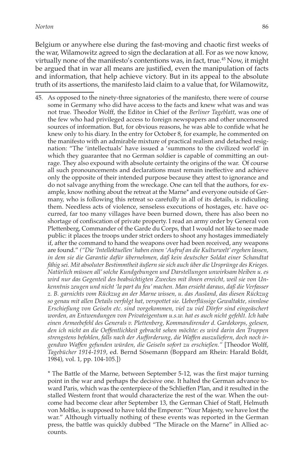Belgium or anywhere else during the fast-moving and chaotic first weeks of the war, Wilamowitz agreed to sign the declaration at all. For as we now know, virtually none of the manifesto's contentions was, in fact, true.45 Now, it might be argued that in war all means are justified, even the manipulation of facts and information, that help achieve victory. But in its appeal to the absolute truth of its assertions, the manifesto laid claim to a value that, for Wilamowitz,

45. As opposed to the ninety-three signatories of the manifesto, there were of course some in Germany who did have access to the facts and knew what was and was not true. Theodor Wolff, the Editor in Chief of the *Berliner Tageblatt*, was one of the few who had privileged access to foreign newspapers and other uncensored sources of information. But, for obvious reasons, he was able to confide what he knew only to his diary. In the entry for October 8, for example, he commented on the manifesto with an admirable mixture of practical realism and detached resignation: "The 'intellectuals' have issued a 'summons to the civilized world' in which they guarantee that no German soldier is capable of committing an outrage. They also expound with absolute certainty the origins of the war. Of course all such pronouncements and declarations must remain ineffective and achieve only the opposite of their intended purpose because they attest to ignorance and do not salvage anything from the wreckage. One can tell that the authors, for example, know nothing about the retreat at the Marne\* and everyone outside of Germany, who is following this retreat so carefully in all of its details, is ridiculing them. Needless acts of violence, senseless executions of hostages, etc. have occurred, far too many villages have been burned down, there has also been no shortage of confiscation of private property. I read an army order by General von Plettenberg, Commander of the Garde du Corps, that I would not like to see made public: it places the troops under strict orders to shoot any hostages immediately if, after the command to hand the weapons over had been received, any weapons are found." *("Die 'Intellektuellen' haben einen 'Aufruf an die Kulturwelt' ergehen lassen, in dem sie die Garantie dafür übernehmen, daß kein deutscher Soldat einer Schandtat fähig sei. Mit absoluter Bestimmtheit äußern sie sich auch über die Ursprünge des Krieges. Natürlich müssen all' solche Kundgebungen und Darstellungen unwirksam bleiben u. es wird nur das Gegenteil des beabsichtigten Zweckes mit ihnen erreicht, weil sie von Unkenntnis zeugen und nicht 'la part du feu' machen. Man ersieht daraus, daß die Verfasser z. B. garnichts vom Rückzug an der Marne wissen, u. das Ausland, das diesen Rückzug so genau mit allen Details verfolgt hat, verspottet sie. Ueberflüssige Gewaltakte, sinnlose Erschießung von Geiseln etc. sind vorgekommen, viel zu viel Dörfer sind eingeäschert worden, an Entwendungen von Privateigentum u.s.w. hat es auch nicht gefehlt. Ich habe einen Armeebefehl des Generals v. Plettenberg, Kommandirender d. Gardekorps, gelesen, den ich nicht an die Oeffentlichkeit gebracht sehen möchte: es wird darin den Truppen strengstens befohlen, falls nach der Aufforderung, die Waffen auszuliefern, doch noch irgendwo Waffen gefunden würden, die Geiseln sofort zu erschießen."* [Theodor Wolff, *Tagebücher 1914-1919*, ed. Bernd Sösemann (Boppard am Rhein: Harald Boldt, 1984), vol. 1, pp. 104-105.])

\* The Battle of the Marne, between September 5-12, was the first major turning point in the war and perhaps the decisive one. It halted the German advance toward Paris, which was the centerpiece of the Schlieffen Plan, and it resulted in the stalled Western front that would characterize the rest of the war. When the outcome had become clear after September 13, the German Chief of Staff, Helmuth von Moltke, is supposed to have told the Emperor: "Your Majesty, we have lost the war." Although virtually nothing of these events was reported in the German press, the battle was quickly dubbed "The Miracle on the Marne" in Allied accounts.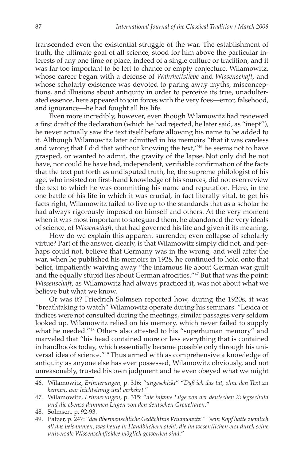transcended even the existential struggle of the war. The establishment of truth, the ultimate goal of all science, stood for him above the particular interests of any one time or place, indeed of a single culture or tradition, and it was far too important to be left to chance or empty conjecture. Wilamowitz, whose career began with a defense of *Wahrheitsliebe* and *Wissenschaft*, and whose scholarly existence was devoted to paring away myths, misconceptions, and illusions about antiquity in order to perceive its true, unadulterated essence, here appeared to join forces with the very foes—error, falsehood, and ignorance—he had fought all his life.

Even more incredibly, however, even though Wilamowitz had reviewed a first draft of the declaration (which he had rejected, he later said, as "inept"), he never actually saw the text itself before allowing his name to be added to it. Although Wilamowitz later admitted in his memoirs "that it was careless and wrong that I did that without knowing the text,"<sup>46</sup> he seems not to have grasped, or wanted to admit, the gravity of the lapse. Not only did he not have, nor could he have had, independent, verifiable confirmation of the facts that the text put forth as undisputed truth, he, the supreme philologist of his age, who insisted on first-hand knowledge of his sources, did not even review the text to which he was committing his name and reputation. Here, in the one battle of his life in which it was crucial, in fact literally vital, to get his facts right, Wilamowitz failed to live up to the standards that as a scholar he had always rigorously imposed on himself and others. At the very moment when it was most important to safeguard them, he abandoned the very ideals of science, of *Wissenschaft*, that had governed his life and given it its meaning.

How do we explain this apparent surrender, even collapse of scholarly virtue? Part of the answer, clearly, is that Wilamowitz simply did not, and perhaps could not, believe that Germany was in the wrong, and well after the war, when he published his memoirs in 1928, he continued to hold onto that belief, impatiently waiving away "the infamous lie about German war guilt and the equally stupid lies about German atrocities."47 But that was the point: *Wissenschaft*, as Wilamowitz had always practiced it, was not about what we believe but what we know.

Or was it? Friedrich Solmsen reported how, during the 1920s, it was "breathtaking to watch" Wilamowitz operate during his seminars. "Lexica or indices were not consulted during the meetings, similar passages very seldom looked up. Wilamowitz relied on his memory, which never failed to supply what he needed."<sup>48</sup> Others also attested to his "superhuman memory" and marveled that "his head contained more or less everything that is contained in handbooks today, which essentially became possible only through his universal idea of science."49 Thus armed with as comprehensive a knowledge of antiquity as anyone else has ever possessed, Wilamowitz obviously, and not unreasonably, trusted his own judgment and he even obeyed what we might

<sup>46.</sup> Wilamowitz, *Erinnerungen*, p. 316: "*ungeschickt*" "*Daß ich das tat, ohne den Text zu kennen, war leichtsinnig und verkehrt.*"

<sup>47.</sup> Wilamowitz, *Erinnerungen*, p. 315: "*die infame Lüge von der deutschen Kriegsschuld und die ebenso dummen Lügen von den deutschen Greueltaten*."

<sup>48.</sup> Solmsen, p. 92-93.

<sup>49.</sup> Patzer, p. 247: "*das übermenschliche Gedächtnis Wilamowitz'" "sein Kopf hatte ziemlich all das beisammen, was heute in Handbüchern steht, die im wesentlichen erst durch seine universale Wissenschaftsidee möglich geworden sind.*"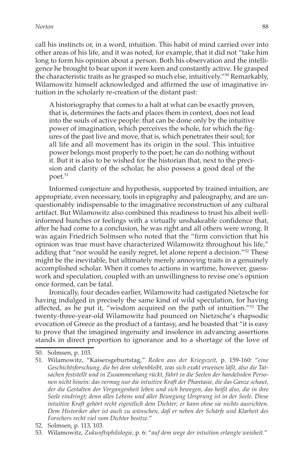call his instincts or, in a word, intuition. This habit of mind carried over into other areas of his life, and it was noted, for example, that it did not "take him long to form his opinion about a person. Both his observation and the intelligence he brought to bear upon it were keen and constantly active. He grasped the characteristic traits as he grasped so much else, intuitively."50 Remarkably, Wilamowitz himself acknowledged and affirmed the use of imaginative intuition in the scholarly re-creation of the distant past:

A historiography that comes to a halt at what can be exactly proven, that is, determines the facts and places them in context, does not lead into the souls of active people: that can be done only by the intuitive power of imagination, which perceives the whole, for which the figures of the past live and move, that is, which penetrates their soul; for all life and all movement has its origin in the soul. This intuitive power belongs most properly to the poet; he can do nothing without it. But it is also to be wished for the historian that, next to the precision and clarity of the scholar, he also possess a good deal of the poet.<sup>51</sup>

Informed conjecture and hypothesis, supported by trained intuition, are appropriate, even necessary, tools in epigraphy and paleography, and are unquestionably indispensable to the imaginative reconstruction of any cultural artifact. But Wilamowitz also combined this readiness to trust his albeit wellinformed hunches or feelings with a virtually unshakeable confidence that, after he had come to a conclusion, he was right and all others were wrong. It was again Friedrich Solmsen who noted that the "firm conviction that his opinion was true must have characterized Wilamowitz throughout his life," adding that "nor would he easily regret, let alone repent a decision."<sup>52</sup> These might be the inevitable, but ultimately merely annoying traits in a genuinely accomplished scholar. When it comes to actions in wartime, however, guesswork and speculation, coupled with an unwillingness to revise one's opinion once formed, can be fatal.

Ironically, four decades earlier, Wilamowitz had castigated Nietzsche for having indulged in precisely the same kind of wild speculation, for having affected, as he put it, "wisdom acquired on the path of intuition."53 The twenty-three-year-old Wilamowitz had pounced on Nietzsche's rhapsodic evocation of Greece as the product of a fantasy, and he boasted that "it is easy to prove that the imagined ingenuity and insolence in advancing assertions stands in direct proportion to ignorance and to a shortage of the love of

<sup>50.</sup> Solmsen, p. 103.

<sup>51.</sup> Wilamowitz, "Kaisersgeburtstag," *Reden aus der Kriegszeit*, p. 159-160: "*eine Geschichtsforschung, die bei dem stehenbleibt, was sich exakt erweisen läßt, also die Tatsachen feststellt und in Zusammenhang rückt, führt in die Seelen der handelnden Personen nicht hinein: das vermag nur die intuitive Kraft der Phantasie, die das Ganze schaut, der die Gestalten der Vergangenheit leben und sich bewegen, das heißt also, die in ihre Seele eindringt; denn alles Lebens und aller Bewegung Ursprung ist in der Seele. Diese intuitive Kraft gehört recht eigentlich dem Dichter; er kann ohne sie nichts ausrichten. Dem Historiker aber ist auch zu wünschen, daß er neben der Schärfe und Klarheit des Forschers recht viel vom Dichter besitze.*"

<sup>52.</sup> Solmsen, p. 113, 103.

<sup>53.</sup> Wilamowitz, *Zukunftsphilologie*, p. 6: "*auf dem wege der intuition erlangte weisheit.*"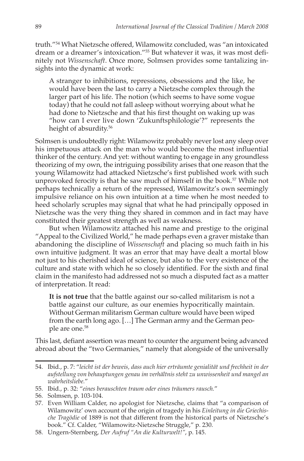truth."54 What Nietzsche offered, Wilamowitz concluded, was "an intoxicated dream or a dreamer's intoxication."55 But whatever it was, it was most definitely not *Wissenschaft*. Once more, Solmsen provides some tantalizing insights into the dynamic at work:

A stranger to inhibitions, repressions, obsessions and the like, he would have been the last to carry a Nietzsche complex through the larger part of his life. The notion (which seems to have some vogue today) that he could not fall asleep without worrying about what he had done to Nietzsche and that his first thought on waking up was "how can I ever live down 'Zukunftsphilologie'?" represents the height of absurdity.<sup>56</sup>

Solmsen is undoubtedly right: Wilamowitz probably never lost any sleep over his impetuous attack on the man who would become the most influential thinker of the century. And yet: without wanting to engage in any groundless theorizing of my own, the intriguing possibility arises that one reason that the young Wilamowitz had attacked Nietzsche's first published work with such unprovoked ferocity is that he saw much of himself in the book.<sup>57</sup> While not perhaps technically a return of the repressed, Wilamowitz's own seemingly impulsive reliance on his own intuition at a time when he most needed to heed scholarly scruples may signal that what he had principally opposed in Nietzsche was the very thing they shared in common and in fact may have constituted their greatest strength as well as weakness.

But when Wilamowitz attached his name and prestige to the original "Appeal to the Civilized World," he made perhaps even a graver mistake than abandoning the discipline of *Wissenschaft* and placing so much faith in his own intuitive judgment. It was an error that may have dealt a mortal blow not just to his cherished ideal of science, but also to the very existence of the culture and state with which he so closely identified. For the sixth and final claim in the manifesto had addressed not so much a disputed fact as a matter of interpretation. It read:

**It is not true** that the battle against our so-called militarism is not a battle against our culture, as our enemies hypocritically maintain. Without German militarism German culture would have been wiped from the earth long ago. […] The German army and the German people are one.58

This last, defiant assertion was meant to counter the argument being advanced abroad about the "two Germanies," namely that alongside of the universally

<sup>54.</sup> Ibid., p. 7: "*leicht ist der beweis, dass auch hier erträumte genialität und frechheit in der aufstellung von behauptungen genau im verhältnis steht zu unwissenheit und mangel an wahrheitsliebe.*"

<sup>55.</sup> Ibid., p. 32: "*eines berauschten traum oder eines träumers rausch.*"

<sup>56.</sup> Solmsen, p. 103-104.

<sup>57.</sup> Even William Calder, no apologist for Nietzsche, claims that "a comparison of Wilamowitz' own account of the origin of tragedy in his *Einleitung in die Griechische Tragödie* of 1889 is not that different from the historical parts of Nietzsche's book." Cf. Calder, "Wilamowitz-Nietzsche Struggle," p. 230.

<sup>58.</sup> Ungern-Sternberg, *Der Aufruf "An die Kulturwelt!"*, p. 145.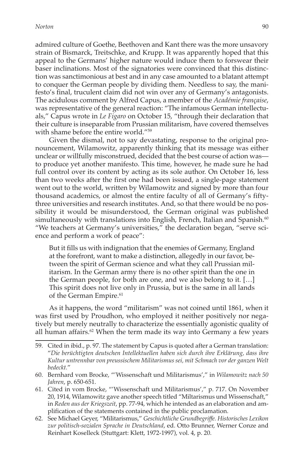admired culture of Goethe, Beethoven and Kant there was the more unsavory strain of Bismarck, Treitschke, and Krupp. It was apparently hoped that this appeal to the Germans' higher nature would induce them to forswear their baser inclinations. Most of the signatories were convinced that this distinction was sanctimonious at best and in any case amounted to a blatant attempt to conquer the German people by dividing them. Needless to say, the manifesto's final, truculent claim did not win over any of Germany's antagonists. The acidulous comment by Alfred Capus, a member of the *Académie française*, was representative of the general reaction: "The infamous German intellectuals," Capus wrote in *Le Figaro* on October 15, "through their declaration that their culture is inseparable from Prussian militarism, have covered themselves with shame before the entire world."59

Given the dismal, not to say devastating, response to the original pronouncement, Wilamowitz, apparently thinking that its message was either unclear or willfully misconstrued, decided that the best course of action was to produce yet another manifesto. This time, however, he made sure he had full control over its content by acting as its sole author. On October 16, less than two weeks after the first one had been issued, a single-page statement went out to the world, written by Wilamowitz and signed by more than four thousand academics, or almost the entire faculty of all of Germany's fiftythree universities and research institutes. And, so that there would be no possibility it would be misunderstood, the German original was published simultaneously with translations into English, French, Italian and Spanish.<sup>60</sup> "We teachers at Germany's universities," the declaration began, "serve science and perform a work of peace":

But it fills us with indignation that the enemies of Germany, England at the forefront, want to make a distinction, allegedly in our favor, between the spirit of German science and what they call Prussian militarism. In the German army there is no other spirit than the one in the German people, for both are one, and we also belong to it. […] This spirit does not live only in Prussia, but is the same in all lands of the German Empire.<sup>61</sup>

As it happens, the word "militarism" was not coined until 1861, when it was first used by Proudhon, who employed it neither positively nor negatively but merely neutrally to characterize the essentially agonistic quality of all human affairs. $62$  When the term made its way into Germany a few years

- 60. Bernhard vom Brocke, "'Wissenschaft und Militarismus'," in *Wilamowitz nach 50 Jahren*, p. 650-651.
- 61. Cited in vom Brocke, "'Wissenschaft und Militarismus'," p. 717. On November 20, 1914, Wilamowitz gave another speech titled "Miltarismus und Wissenschaft," in *Reden aus der Kriegszeit*, pp. 77-94, which he intended as an elaboration and amplification of the statements contained in the public proclamation.
- 62. See Michael Geyer, "Militarismus," *Geschichtliche Grundbegriffe. Historisches Lexikon zur politisch-sozialen Sprache in Deutschland*, ed. Otto Brunner, Werner Conze and Reinhart Koselleck (Stuttgart: Klett, 1972-1997), vol. 4, p. 20.

<sup>59.</sup> Cited in ibid., p. 97. The statement by Capus is quoted after a German translation: "*Die berüchtigten deutschen Intellektuellen haben sich durch ihre Erklärung, dass ihre Kultur untrennbar von preussischem Militarismus sei, mit Schmach vor der ganzen Welt bedeckt.*"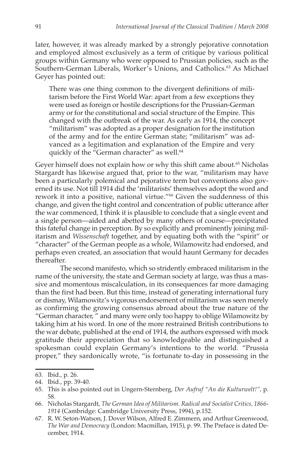later, however, it was already marked by a strongly pejorative connotation and employed almost exclusively as a term of critique by various political groups within Germany who were opposed to Prussian policies, such as the Southern-German Liberals, Worker's Unions, and Catholics.<sup>63</sup> As Michael Geyer has pointed out:

There was one thing common to the divergent definitions of militarism before the First World War: apart from a few exceptions they were used as foreign or hostile descriptions for the Prussian-German army or for the constitutional and social structure of the Empire. This changed with the outbreak of the war. As early as 1914, the concept "militarism" was adopted as a proper designation for the institution of the army and for the entire German state; "militarism" was advanced as a legitimation and explanation of the Empire and very quickly of the "German character" as well.<sup>64</sup>

Geyer himself does not explain how or why this shift came about.<sup>65</sup> Nicholas Stargardt has likewise argued that, prior to the war, "militarism may have been a particularly polemical and pejorative term but conventions also governed its use. Not till 1914 did the 'militarists' themselves adopt the word and rework it into a positive, national virtue."<sup>66</sup> Given the suddenness of this change, and given the tight control and concentration of public utterance after the war commenced, I think it is plausible to conclude that a single event and a single person—aided and abetted by many others of course—precipitated this fateful change in perception. By so explicitly and prominently joining militarism and *Wissenschaft* together, and by equating both with the "spirit" or "character" of the German people as a whole, Wilamowitz had endorsed, and perhaps even created, an association that would haunt Germany for decades thereafter.

The second manifesto, which so stridently embraced militarism in the name of the university, the state and German society at large, was thus a massive and momentous miscalculation, in its consequences far more damaging than the first had been. But this time, instead of generating international fury or dismay, Wilamowitz's vigorous endorsement of militarism was seen merely as confirming the growing consensus abroad about the true nature of the "German character, " and many were only too happy to oblige Wilamowitz by taking him at his word. In one of the more restrained British contributions to the war debate, published at the end of 1914, the authors expressed with mock gratitude their appreciation that so knowledgeable and distinguished a spokesman could explain Germany's intentions to the world. "Prussia proper," they sardonically wrote, "is fortunate to-day in possessing in the

<sup>63.</sup> Ibid., p. 26.

<sup>64.</sup> Ibid., pp. 39-40.

<sup>65.</sup> This is also pointed out in Ungern-Sternberg, *Der Aufruf "An die Kulturwelt!",* p. 58.

<sup>66.</sup> Nicholas Stargardt, *The German Idea of Militarism. Radical and Socialist Critics, 1866- 1914* (Cambridge: Cambridge University Press, 1994), p.152.

<sup>67.</sup> R. W. Seton-Watson, J. Dover Wilson, Alfred E. Zimmern, and Arthur Greenwood, *The War and Democracy* (London: Macmillan, 1915), p. 99. The Preface is dated December, 1914.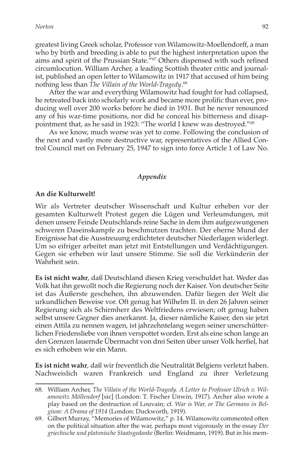greatest living Greek scholar, Professor von Wilamowitz-Moellendorff, a man who by birth and breeding is able to put the highest interpretation upon the aims and spirit of the Prussian State."67 Others dispensed with such refined circumlocution. William Archer, a leading Scottish theater critic and journalist, published an open letter to Wilamowitz in 1917 that accused of him being nothing less than *The Villain of the World-Tragedy*. 68

After the war and everything Wilamowitz had fought for had collapsed, he retreated back into scholarly work and became more prolific than ever, producing well over 200 works before he died in 1931. But he never renounced any of his war-time positions, nor did he conceal his bitterness and disappointment that, as he said in 1923: "The world I knew was destroyed."69

As we know, much worse was yet to come. Following the conclusion of the next and vastly more destructive war, representatives of the Allied Control Council met on February 25, 1947 to sign into force Article 1 of Law No.

### *Appendix*

#### **An die Kulturwelt!**

Wir als Vertreter deutscher Wissenschaft und Kultur erheben vor der gesamten Kulturwelt Protest gegen die Lügen und Verleumdungen, mit denen unsere Feinde Deutschlands reine Sache in dem ihm aufgezwungenen schweren Daseinskampfe zu beschmutzen trachten. Der eherne Mund der Ereignisse hat die Ausstreuung erdichteter deutscher Niederlagen widerlegt. Um so eifriger arbeitet man jetzt mit Entstellungen und Verdächtigungen. Gegen sie erheben wir laut unsere Stimme. Sie soll die Verkünderin der Wahrheit sein.

**Es ist nicht wahr**, daß Deutschland diesen Krieg verschuldet hat. Weder das Volk hat ihn gewollt noch die Regierung noch der Kaiser. Von deutscher Seite ist das Äußerste geschehen, ihn abzuwenden. Dafür liegen der Welt die urkundlichen Beweise vor. Oft genug hat Wilhelm II. in den 26 Jahren seiner Regierung sich als Schirmherr des Weltfriedens erwiesen; oft genug haben selbst unsere Gegner dies anerkannt. Ja, dieser nämliche Kaiser, den sie jetzt einen Attila zu nennen wagen, ist jahrzehntelang wegen seiner unerschütterlichen Friedensliebe von ihnen verspottet worden. Erst als eine schon lange an den Grenzen lauernde Übermacht von drei Seiten über unser Volk herfiel, hat es sich erhoben wie ein Mann.

**Es ist nicht wahr**, daß wir freventlich die Neutralität Belgiens verletzt haben. Nachweislich waren Frankreich und England zu ihrer Verletzung

<sup>68.</sup> William Archer, *The Villain of the World-Tragedy. A Letter to Professor Ulrich v. Wilamowitz Möllendorf* [sic] (London: T. Fischer Unwin, 1917). Archer also wrote a play based on the destruction of Louvain; cf. *War is War, or The Germans in Belgium: A Drama of 1914* (London: Duckworth, 1919).

<sup>69.</sup> Gilbert Murray, "Memories of Wilamowitz," p. 14. Wilamowitz commented often on the political situation after the war, perhaps most vigorously in the essay *Der griechische und platonische Staatsgedanke* (Berlin: Weidmann, 1919). But in his mem-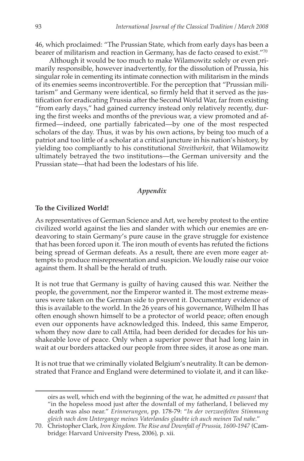46, which proclaimed: "The Prussian State, which from early days has been a bearer of militarism and reaction in Germany, has de facto ceased to exist."70

Although it would be too much to make Wilamowitz solely or even primarily responsible, however inadvertently, for the dissolution of Prussia, his singular role in cementing its intimate connection with militarism in the minds of its enemies seems incontrovertible. For the perception that "Prussian militarism" and Germany were identical, so firmly held that it served as the justification for eradicating Prussia after the Second World War, far from existing "from early days," had gained currency instead only relatively recently, during the first weeks and months of the previous war, a view promoted and affirmed—indeed, one partially fabricated—by one of the most respected scholars of the day. Thus, it was by his own actions, by being too much of a patriot and too little of a scholar at a critical juncture in his nation's history, by yielding too compliantly to his constitutional *Streitbarkeit*, that Wilamowitz ultimately betrayed the two institutions—the German university and the Prussian state—that had been the lodestars of his life.

#### *Appendix*

#### **To the Civilized World!**

As representatives of German Science and Art, we hereby protest to the entire civilized world against the lies and slander with which our enemies are endeavoring to stain Germany's pure cause in the grave struggle for existence that has been forced upon it. The iron mouth of events has refuted the fictions being spread of German defeats. As a result, there are even more eager attempts to produce misrepresentation and suspicion. We loudly raise our voice against them. It shall be the herald of truth.

It is not true that Germany is guilty of having caused this war. Neither the people, the government, nor the Emperor wanted it. The most extreme measures were taken on the German side to prevent it. Documentary evidence of this is available to the world. In the 26 years of his governance, Wilhelm II has often enough shown himself to be a protector of world peace; often enough even our opponents have acknowledged this. Indeed, this same Emperor, whom they now dare to call Attila, had been derided for decades for his unshakeable love of peace. Only when a superior power that had long lain in wait at our borders attacked our people from three sides, it arose as one man.

It is not true that we criminally violated Belgium's neutrality. It can be demonstrated that France and England were determined to violate it, and it can like-

oirs as well, which end with the beginning of the war, he admitted *en passant* that "in the hopeless mood just after the downfall of my fatherland, I believed my death was also near." *Erinnerungen*, pp. 178-79: "*In der verzweifelten Stimmung gleich nach dem Untergange meines Vaterlandes glaubte ich auch meinen Tod nahe.*"

<sup>70.</sup> Christopher Clark, *Iron Kingdom. The Rise and Downfall of Prussia, 1600-1947* (Cambridge: Harvard University Press, 2006), p. xii.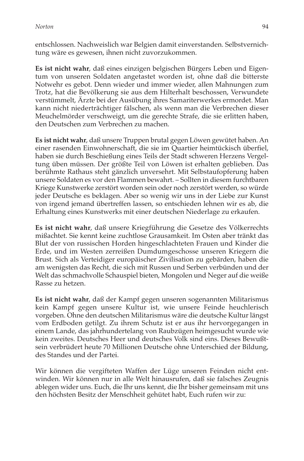entschlossen. Nachweislich war Belgien damit einverstanden. Selbstvernichtung wäre es gewesen, ihnen nicht zuvorzukommen.

**Es ist nicht wahr**, daß eines einzigen belgischen Bürgers Leben und Eigentum von unseren Soldaten angetastet worden ist, ohne daß die bitterste Notwehr es gebot. Denn wieder und immer wieder, allen Mahnungen zum Trotz, hat die Bevölkerung sie aus dem Hilterhalt beschossen, Verwundete verstümmelt, Ärzte bei der Ausübung ihres Samariterwerkes ermordet. Man kann nicht niederträchtiger fälschen, als wenn man die Verbrechen dieser Meuchelmörder verschweigt, um die gerechte Strafe, die sie erlitten haben, den Deutschen zum Verbrechen zu machen.

**Es ist nicht wahr**, daß unsere Truppen brutal gegen Löwen gewütet haben. An einer rasenden Einwohnerschaft, die sie im Quartier heimtückisch überfiel, haben sie durch Beschießung eines Teils der Stadt schweren Herzens Vergeltung üben müssen. Der größte Teil von Löwen ist erhalten geblieben. Das berühmte Rathaus steht gänzlich unversehrt. Mit Selbstaufopferung haben unsere Soldaten es vor den Flammen bewahrt. – Sollten in diesem furchtbaren Kriege Kunstwerke zerstört worden sein oder noch zerstört werden, so würde jeder Deutsche es beklagen. Aber so wenig wir uns in der Liebe zur Kunst von irgend jemand übertreffen lassen, so entschieden lehnen wir es ab, die Erhaltung eines Kunstwerks mit einer deutschen Niederlage zu erkaufen.

**Es ist nicht wahr**, daß unsere Kriegführung die Gesetze des Völkerrechts mißachtet. Sie kennt keine zuchtlose Grausamkeit. Im Osten aber tränkt das Blut der von russischen Horden hingeschlachteten Frauen und Kinder die Erde, und im Westen zerreißen Dumdumgeschosse unseren Kriegern die Brust. Sich als Verteidiger europäischer Zivilisation zu gebärden, haben die am wenigsten das Recht, die sich mit Russen und Serben verbünden und der Welt das schmachvolle Schauspiel bieten, Mongolen und Neger auf die weiße Rasse zu hetzen.

**Es ist nicht wahr**, daß der Kampf gegen unseren sogenannten Militarismus kein Kampf gegen unsere Kultur ist, wie unsere Feinde heuchlerisch vorgeben. Ohne den deutschen Militarismus wäre die deutsche Kultur längst vom Erdboden getilgt. Zu ihrem Schutz ist er aus ihr hervorgegangen in einem Lande, das jahrhundertelang von Raubzügen heimgesucht wurde wie kein zweites. Deutsches Heer und deutsches Volk sind eins. Dieses Bewußtsein verbrüdert heute 70 Millionen Deutsche ohne Unterschied der Bildung, des Standes und der Partei.

Wir können die vergifteten Waffen der Lüge unseren Feinden nicht entwinden. Wir können nur in alle Welt hinausrufen, daß sie falsches Zeugnis ablegen wider uns. Euch, die Ihr uns kennt, die Ihr bisher gemeinsam mit uns den höchsten Besitz der Menschheit gehütet habt, Euch rufen wir zu: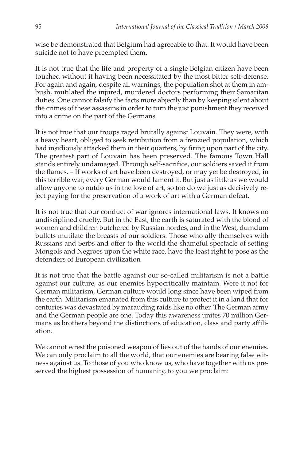wise be demonstrated that Belgium had agreeable to that. It would have been suicide not to have preempted them.

It is not true that the life and property of a single Belgian citizen have been touched without it having been necessitated by the most bitter self-defense. For again and again, despite all warnings, the population shot at them in ambush, mutilated the injured, murdered doctors performing their Samaritan duties. One cannot falsify the facts more abjectly than by keeping silent about the crimes of these assassins in order to turn the just punishment they received into a crime on the part of the Germans.

It is not true that our troops raged brutally against Louvain. They were, with a heavy heart, obliged to seek retribution from a frenzied population, which had insidiously attacked them in their quarters, by firing upon part of the city. The greatest part of Louvain has been preserved. The famous Town Hall stands entirely undamaged. Through self-sacrifice, our soldiers saved it from the flames. – If works of art have been destroyed, or may yet be destroyed, in this terrible war, every German would lament it. But just as little as we would allow anyone to outdo us in the love of art, so too do we just as decisively reject paying for the preservation of a work of art with a German defeat.

It is not true that our conduct of war ignores international laws. It knows no undisciplined cruelty. But in the East, the earth is saturated with the blood of women and children butchered by Russian hordes, and in the West, dumdum bullets mutilate the breasts of our soldiers. Those who ally themselves with Russians and Serbs and offer to the world the shameful spectacle of setting Mongols and Negroes upon the white race, have the least right to pose as the defenders of European civilization

It is not true that the battle against our so-called militarism is not a battle against our culture, as our enemies hypocritically maintain. Were it not for German militarism, German culture would long since have been wiped from the earth. Militarism emanated from this culture to protect it in a land that for centuries was devastated by marauding raids like no other. The German army and the German people are one. Today this awareness unites 70 million Germans as brothers beyond the distinctions of education, class and party affiliation.

We cannot wrest the poisoned weapon of lies out of the hands of our enemies. We can only proclaim to all the world, that our enemies are bearing false witness against us. To those of you who know us, who have together with us preserved the highest possession of humanity, to you we proclaim: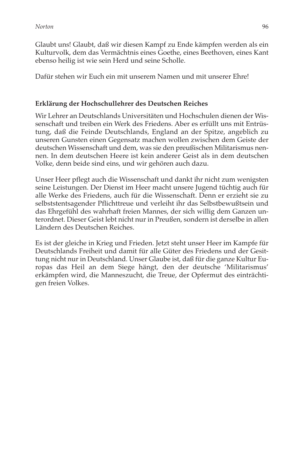Glaubt uns! Glaubt, daß wir diesen Kampf zu Ende kämpfen werden als ein Kulturvolk, dem das Vermächtnis eines Goethe, eines Beethoven, eines Kant ebenso heilig ist wie sein Herd und seine Scholle.

Dafür stehen wir Euch ein mit unserem Namen und mit unserer Ehre!

## **Erklärung der Hochschullehrer des Deutschen Reiches**

Wir Lehrer an Deutschlands Universitäten und Hochschulen dienen der Wissenschaft und treiben ein Werk des Friedens. Aber es erfüllt uns mit Entrüstung, daß die Feinde Deutschlands, England an der Spitze, angeblich zu unseren Gunsten einen Gegensatz machen wollen zwischen dem Geiste der deutschen Wissenschaft und dem, was sie den preußischen Militarismus nennen. In dem deutschen Heere ist kein anderer Geist als in dem deutschen Volke, denn beide sind eins, und wir gehören auch dazu.

Unser Heer pflegt auch die Wissenschaft und dankt ihr nicht zum wenigsten seine Leistungen. Der Dienst im Heer macht unsere Jugend tüchtig auch für alle Werke des Friedens, auch für die Wissenschaft. Denn er erzieht sie zu selbststentsagender Pflichttreue und verleiht ihr das Selbstbewußtsein und das Ehr gefühl des wahrhaft freien Mannes, der sich willig dem Ganzen unterordnet. Dieser Geist lebt nicht nur in Preußen, sondern ist derselbe in allen Ländern des Deutschen Reiches.

Es ist der gleiche in Krieg und Frieden. Jetzt steht unser Heer im Kampfe für Deutschlands Freiheit und damit für alle Güter des Friedens und der Gesittung nicht nur in Deutschland. Unser Glaube ist, daß für die ganze Kultur Europas das Heil an dem Siege hängt, den der deutsche 'Militarismus' erkämpfen wird, die Manneszucht, die Treue, der Opfermut des einträchtigen freien Volkes.